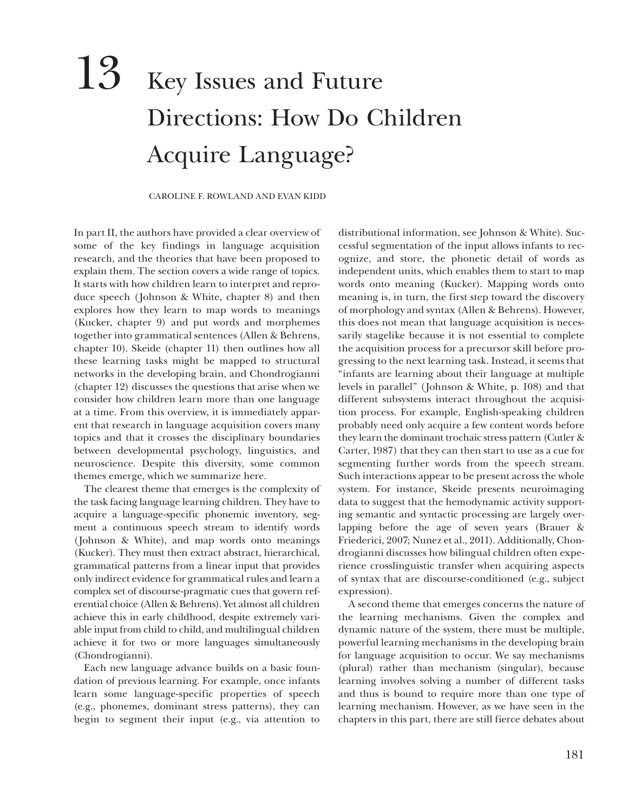## 13 Key Issues and Future Directions: How Do Children Acquire Language?

## CAROLINE F. ROWLAND AND EVAN KIDD

In part II, the authors have provided a clear overview of some of the key findings in language acquisition research, and the theories that have been proposed to explain them. The section covers a wide range of topics. It starts with how children learn to interpret and reproduce speech ( Johnson & White, chapter 8) and then explores how they learn to map words to meanings (Kucker, chapter 9) and put words and morphemes together into grammatical sentences (Allen & Behrens, chapter 10). Skeide (chapter 11) then outlines how all these learning tasks might be mapped to structural networks in the developing brain, and Chondrogianni (chapter 12) discusses the questions that arise when we consider how children learn more than one language at a time. From this overview, it is immediately apparent that research in language acquisition covers many topics and that it crosses the disciplinary boundaries between developmental psychology, linguistics, and neuroscience. Despite this diversity, some common themes emerge, which we summarize here.

The clearest theme that emerges is the complexity of the task facing language learning children. They have to acquire a language-specific phonemic inventory, segment a continuous speech stream to identify words (Johnson & White), and map words onto meanings (Kucker). They must then extract abstract, hierarchical, grammatical patterns from a linear input that provides only indirect evidence for grammatical rules and learn a complex set of discourse-pragmatic cues that govern referential choice (Allen & Behrens). Yet almost all children achieve this in early childhood, despite extremely variable input from child to child, and multilingual children achieve it for two or more languages simultaneously (Chondrogianni).

Each new language advance builds on a basic foundation of previous learning. For example, once infants learn some language-specific properties of speech (e.g., phonemes, dominant stress patterns), they can begin to segment their input (e.g., via attention to

distributional information, see Johnson & White). Successful segmentation of the input allows infants to recognize, and store, the phonetic detail of words as independent units, which enables them to start to map words onto meaning (Kucker). Mapping words onto meaning is, in turn, the first step toward the discovery of morphology and syntax (Allen & Behrens). However, this does not mean that language acquisition is necessarily stagelike because it is not essential to complete the acquisition process for a precursor skill before progressing to the next learning task. Instead, it seems that "infants are learning about their language at multiple levels in parallel" ( Johnson & White, p. 108) and that different subsystems interact throughout the acquisition process. For example, English-speaking children probably need only acquire a few content words before they learn the dominant trochaic stress pattern (Cutler & Carter, 1987) that they can then start to use as a cue for segmenting further words from the speech stream. Such interactions appear to be present across the whole system. For instance, Skeide presents neuroimaging data to suggest that the hemodynamic activity supporting semantic and syntactic processing are largely overlapping before the age of seven years (Brauer & Friederici, 2007; Nunez et al., 2011). Additionally, Chondrogianni discusses how bilingual children often experience crosslinguistic transfer when acquiring aspects of syntax that are discourse-conditioned (e.g., subject expression).

A second theme that emerges concerns the nature of the learning mechanisms. Given the complex and dynamic nature of the system, there must be multiple, powerful learning mechanisms in the developing brain for language acquisition to occur. We say mechanisms (plural) rather than mechanism (singular), because learning involves solving a number of different tasks and thus is bound to require more than one type of learning mechanism. However, as we have seen in the chapters in this part, there are still fierce debates about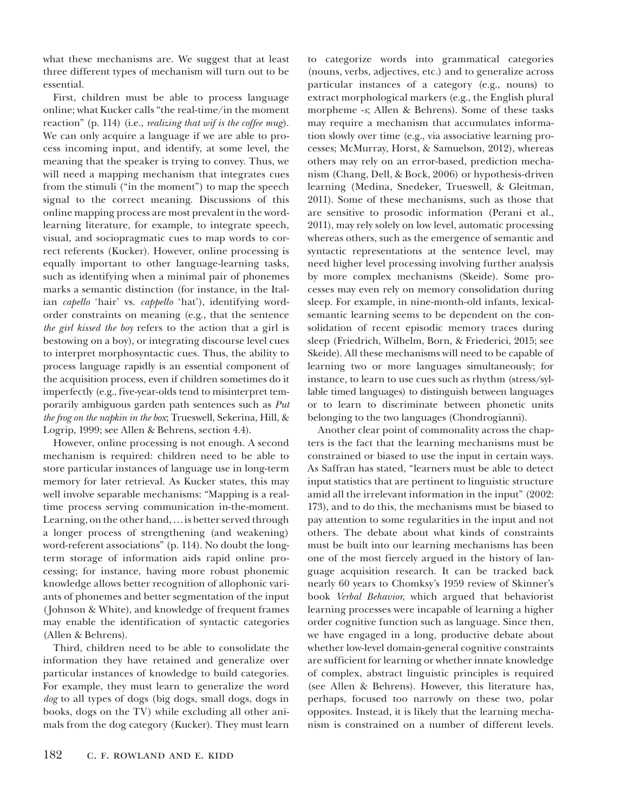what these mechanisms are. We suggest that at least three different types of mechanism will turn out to be essential.

First, children must be able to process language online; what Kucker calls "the real-time/in the moment reaction" (p. 114) (i.e., *realizing that wif is the coffee mug*). We can only acquire a language if we are able to process incoming input, and identify, at some level, the meaning that the speaker is trying to convey. Thus, we will need a mapping mechanism that integrates cues from the stimuli ("in the moment") to map the speech signal to the correct meaning. Discussions of this online mapping process are most prevalent in the word-learning literature, for example, to integrate speech, visual, and sociopragmatic cues to map words to correct referents (Kucker). However, online processing is equally important to other language-learning tasks, such as identifying when a minimal pair of phonemes marks a semantic distinction (for instance, in the Italian *capello* 'hair' vs. *cappello* 'hat'), identifying word-order constraints on meaning (e.g., that the sentence *the girl kissed the boy* refers to the action that a girl is bestowing on a boy), or integrating discourse level cues to interpret morphosyntactic cues. Thus, the ability to process language rapidly is an essential component of the acquisition process, even if children sometimes do it imperfectly (e.g., five-year-olds tend to misinterpret temporarily ambiguous garden path sentences such as *Put the frog on the napkin in the box*; Trueswell, Sekerina, Hill, & Logrip, 1999; see Allen & Behrens, section 4.4).

However, online processing is not enough. A second mechanism is required: children need to be able to store particular instances of language use in long-term memory for later retrieval. As Kucker states, this may well involve separable mechanisms: "Mapping is a realtime process serving communication in-the-moment. Learning, on the other hand,…is better served through a longer process of strengthening (and weakening) word-referent associations" (p. 114). No doubt the long-term storage of information aids rapid online processing; for instance, having more robust phonemic knowledge allows better recognition of allophonic variants of phonemes and better segmentation of the input ( Johnson & White), and knowledge of frequent frames may enable the identification of syntactic categories (Allen & Behrens).

Third, children need to be able to consolidate the information they have retained and generalize over particular instances of knowledge to build categories. For example, they must learn to generalize the word *dog* to all types of dogs (big dogs, small dogs, dogs in books, dogs on the TV) while excluding all other animals from the dog category (Kucker). They must learn to categorize words into grammatical categories (nouns, verbs, adjectives, etc.) and to generalize across particular instances of a category (e.g., nouns) to extract morphological markers (e.g., the English plural morpheme -*s*; Allen & Behrens). Some of these tasks may require a mechanism that accumulates information slowly over time (e.g., via associative learning processes; McMurray, Horst, & Samuelson, 2012), whereas others may rely on an error-based, prediction mechanism (Chang, Dell, & Bock, 2006) or hypothesis-driven learning (Medina, Snedeker, Trueswell, & Gleitman, 2011). Some of these mechanisms, such as those that are sensitive to prosodic information (Perani et al., 2011), may rely solely on low level, automatic processing whereas others, such as the emergence of semantic and syntactic representations at the sentence level, may need higher level processing involving further analysis by more complex mechanisms (Skeide). Some processes may even rely on memory consolidation during sleep. For example, in nine-month-old infants, lexical-semantic learning seems to be dependent on the consolidation of recent episodic memory traces during sleep (Friedrich, Wilhelm, Born, & Friederici, 2015; see Skeide). All these mechanisms will need to be capable of learning two or more languages simultaneously; for instance, to learn to use cues such as rhythm (stress/syllable timed languages) to distinguish between languages or to learn to discriminate between phonetic units belonging to the two languages (Chondrogianni).

Another clear point of commonality across the chapters is the fact that the learning mechanisms must be constrained or biased to use the input in certain ways. As Saffran has stated, "learners must be able to detect input statistics that are pertinent to linguistic structure amid all the irrelevant information in the input" (2002: 173), and to do this, the mechanisms must be biased to pay attention to some regularities in the input and not others. The debate about what kinds of constraints must be built into our learning mechanisms has been one of the most fiercely argued in the history of language acquisition research. It can be tracked back nearly 60 years to Chomksy's 1959 review of Skinner's book *Verbal Behavior*, which argued that behaviorist learning processes were incapable of learning a higher order cognitive function such as language. Since then, we have engaged in a long, productive debate about whether low-level domain-general cognitive constraints are sufficient for learning or whether innate knowledge of complex, abstract linguistic principles is required (see Allen & Behrens). However, this literature has, perhaps, focused too narrowly on these two, polar opposites. Instead, it is likely that the learning mechanism is constrained on a number of different levels.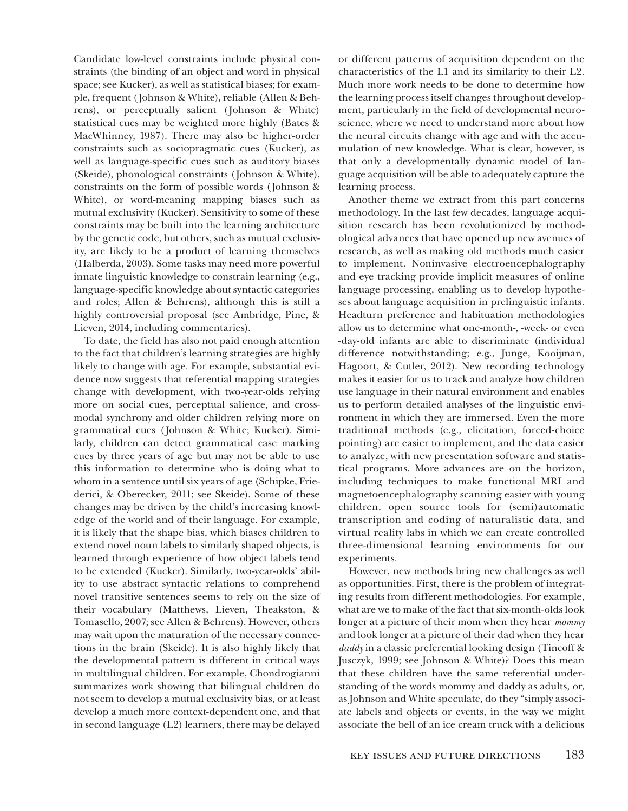Candidate low-level constraints include physical constraints (the binding of an object and word in physical space; see Kucker), as well as statistical biases; for example, frequent ( Johnson & White), reliable (Allen & Behrens), or perceptually salient ( Johnson & White) statistical cues may be weighted more highly (Bates & MacWhinney, 1987). There may also be higher-order constraints such as sociopragmatic cues (Kucker), as well as language-specific cues such as auditory biases (Skeide), phonological constraints ( Johnson & White), constraints on the form of possible words ( Johnson & White), or word-meaning mapping biases such as mutual exclusivity (Kucker). Sensitivity to some of these constraints may be built into the learning architecture by the genetic code, but others, such as mutual exclusivity, are likely to be a product of learning themselves (Halberda, 2003). Some tasks may need more powerful innate linguistic knowledge to constrain learning (e.g., language-specific knowledge about syntactic categories and roles; Allen & Behrens), although this is still a highly controversial proposal (see Ambridge, Pine, & Lieven, 2014, including commentaries).

To date, the field has also not paid enough attention to the fact that children's learning strategies are highly likely to change with age. For example, substantial evidence now suggests that referential mapping strategies change with development, with two-year-olds relying more on social cues, perceptual salience, and cross-modal synchrony and older children relying more on grammatical cues ( Johnson & White; Kucker). Similarly, children can detect grammatical case marking cues by three years of age but may not be able to use this information to determine who is doing what to whom in a sentence until six years of age (Schipke, Friederici, & Oberecker, 2011; see Skeide). Some of these changes may be driven by the child's increasing knowledge of the world and of their language. For example, it is likely that the shape bias, which biases children to extend novel noun labels to similarly shaped objects, is learned through experience of how object labels tend to be extended (Kucker). Similarly, two-year-olds' ability to use abstract syntactic relations to comprehend novel transitive sentences seems to rely on the size of their vocabulary (Matthews, Lieven, Theakston, & Tomasello, 2007; see Allen & Behrens). However, others may wait upon the maturation of the necessary connections in the brain (Skeide). It is also highly likely that the developmental pattern is different in critical ways in multilingual children. For example, Chondrogianni summarizes work showing that bilingual children do not seem to develop a mutual exclusivity bias, or at least develop a much more context-dependent one, and that in second language (L2) learners, there may be delayed

or different patterns of acquisition dependent on the characteristics of the L1 and its similarity to their L2. Much more work needs to be done to determine how the learning process itself changes throughout development, particularly in the field of developmental neuroscience, where we need to understand more about how the neural circuits change with age and with the accumulation of new knowledge. What is clear, however, is that only a developmentally dynamic model of language acquisition will be able to adequately capture the learning process.

Another theme we extract from this part concerns methodology. In the last few decades, language acquisition research has been revolutionized by methodological advances that have opened up new avenues of research, as well as making old methods much easier to implement. Noninvasive electroencephalography and eye tracking provide implicit measures of online language processing, enabling us to develop hypotheses about language acquisition in prelinguistic infants. Headturn preference and habituation methodologies allow us to determine what one-month-, -week- or even -day-old infants are able to discriminate (individual difference notwithstanding; e.g., Junge, Kooijman, Hagoort, & Cutler, 2012). New recording technology makes it easier for us to track and analyze how children use language in their natural environment and enables us to perform detailed analyses of the linguistic environment in which they are immersed. Even the more traditional methods (e.g., elicitation, forced-choice pointing) are easier to implement, and the data easier to analyze, with new presentation software and statistical programs. More advances are on the horizon, including techniques to make functional MRI and magnetoencephalography scanning easier with young children, open source tools for (semi)automatic transcription and coding of naturalistic data, and virtual reality labs in which we can create controlled three-dimensional learning environments for our experiments.

However, new methods bring new challenges as well as opportunities. First, there is the problem of integrating results from different methodologies. For example, what are we to make of the fact that six-month-olds look longer at a picture of their mom when they hear *mommy* and look longer at a picture of their dad when they hear *daddy* in a classic preferential looking design (Tincoff & Jusczyk, 1999; see Johnson & White)? Does this mean that these children have the same referential understanding of the words mommy and daddy as adults, or, as Johnson and White speculate, do they "simply associate labels and objects or events, in the way we might associate the bell of an ice cream truck with a delicious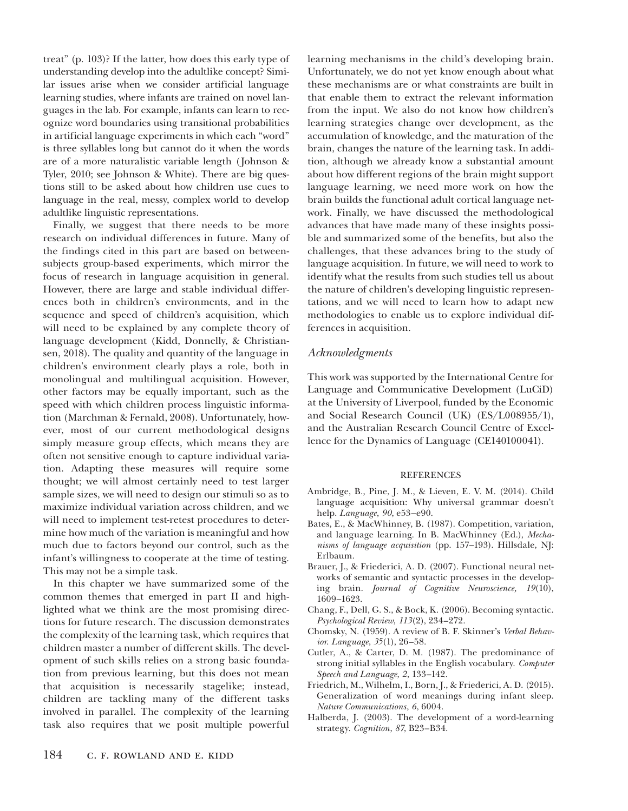treat" (p. 103)? If the latter, how does this early type of understanding develop into the adultlike concept? Similar issues arise when we consider artificial language learning studies, where infants are trained on novel languages in the lab. For example, infants can learn to recognize word boundaries using transitional probabilities in artificial language experiments in which each "word" is three syllables long but cannot do it when the words are of a more naturalistic variable length (Johnson & Tyler, 2010; see Johnson & White). There are big questions still to be asked about how children use cues to language in the real, messy, complex world to develop adultlike linguistic representations.

Finally, we suggest that there needs to be more research on individual differences in future. Many of the findings cited in this part are based on between-subjects group-based experiments, which mirror the focus of research in language acquisition in general. However, there are large and stable individual differences both in children's environments, and in the sequence and speed of children's acquisition, which will need to be explained by any complete theory of language development (Kidd, Donnelly, & Christiansen, 2018). The quality and quantity of the language in children's environment clearly plays a role, both in monolingual and multilingual acquisition. However, other factors may be equally important, such as the speed with which children process linguistic information (Marchman & Fernald, 2008). Unfortunately, however, most of our current methodological designs simply measure group effects, which means they are often not sensitive enough to capture individual variation. Adapting these measures will require some thought; we will almost certainly need to test larger sample sizes, we will need to design our stimuli so as to maximize individual variation across children, and we will need to implement test-retest procedures to determine how much of the variation is meaningful and how much due to factors beyond our control, such as the infant's willingness to cooperate at the time of testing. This may not be a simple task.

In this chapter we have summarized some of the common themes that emerged in part II and highlighted what we think are the most promising directions for future research. The discussion demonstrates the complexity of the learning task, which requires that children master a number of different skills. The development of such skills relies on a strong basic foundation from previous learning, but this does not mean that acquisition is necessarily stagelike; instead, children are tackling many of the different tasks involved in parallel. The complexity of the learning task also requires that we posit multiple powerful learning mechanisms in the child's developing brain. Unfortunately, we do not yet know enough about what these mechanisms are or what constraints are built in that enable them to extract the relevant information from the input. We also do not know how children's learning strategies change over development, as the accumulation of knowledge, and the maturation of the brain, changes the nature of the learning task. In addition, although we already know a substantial amount about how different regions of the brain might support language learning, we need more work on how the brain builds the functional adult cortical language network. Finally, we have discussed the methodological advances that have made many of these insights possible and summarized some of the benefits, but also the challenges, that these advances bring to the study of language acquisition. In future, we will need to work to identify what the results from such studies tell us about the nature of children's developing linguistic representations, and we will need to learn how to adapt new methodologies to enable us to explore individual differences in acquisition.

## *Acknowledgments*

This work was supported by the International Centre for Language and Communicative Development (LuCiD) at the University of Liverpool, funded by the Economic and Social Research Council (UK) (ES/L008955/1), and the Australian Research Council Centre of Excellence for the Dynamics of Language (CE140100041).

## REFERENCES

- Ambridge, B., Pine, J. M., & Lieven, E. V. M. (2014). Child language acquisition: Why universal grammar doesn't help. *Language*, *90*, e53–e90.
- Bates, E., & MacWhinney, B. (1987). Competition, variation, and language learning. In B. MacWhinney (Ed.), *Mechanisms of language acquisition* (pp. 157–193). Hillsdale, NJ: Erlbaum.
- Brauer, J., & Friederici, A. D. (2007). Functional neural networks of semantic and syntactic processes in the developing brain. *Journal of Cognitive Neuroscience, 19*(10), 1609–1623.
- Chang, F., Dell, G. S., & Bock, K. (2006). Becoming syntactic. *Psychological Review*, *113*(2), 234–272.
- Chomsky, N. (1959). A review of B. F. Skinner's *Verbal Behavior*. *Language*, *35*(1), 26–58.
- Cutler, A., & Carter, D. M. (1987). The predominance of strong initial syllables in the English vocabulary. *Computer Speech and Language*, *2*, 133–142.
- Friedrich, M., Wilhelm, I., Born, J., & Friederici, A. D. (2015). Generalization of word meanings during infant sleep. *Nature Communications*, *6*, 6004.
- Halberda, J. (2003). The development of a word-learning strategy. *Cognition*, *87*, B23–B34.